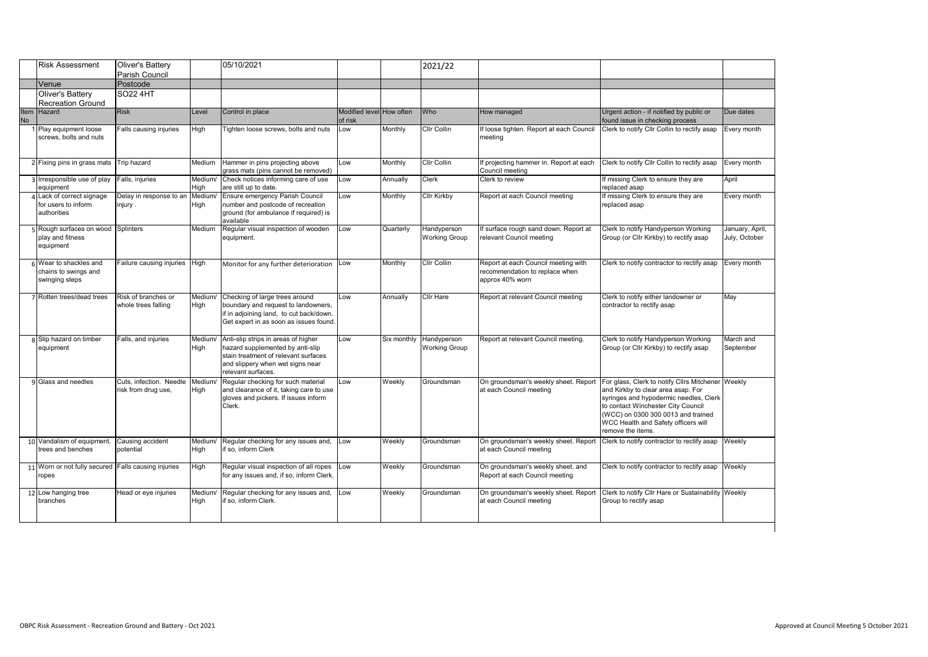|                   | <b>Risk Assessment</b>                                           | Oliver's Battery<br>Parish Council             |                 | 05/10/2021                                                                                                                                                                |                                     |           | 2021/22                                         |                                                                                          |                                                                                                                                                                                                                                                                           |                                  |
|-------------------|------------------------------------------------------------------|------------------------------------------------|-----------------|---------------------------------------------------------------------------------------------------------------------------------------------------------------------------|-------------------------------------|-----------|-------------------------------------------------|------------------------------------------------------------------------------------------|---------------------------------------------------------------------------------------------------------------------------------------------------------------------------------------------------------------------------------------------------------------------------|----------------------------------|
|                   | Venue                                                            | Postcode                                       |                 |                                                                                                                                                                           |                                     |           |                                                 |                                                                                          |                                                                                                                                                                                                                                                                           |                                  |
|                   | Oliver's Battery<br><b>Recreation Ground</b>                     | SO22 4HT                                       |                 |                                                                                                                                                                           |                                     |           |                                                 |                                                                                          |                                                                                                                                                                                                                                                                           |                                  |
| Item<br><b>No</b> | Hazard                                                           | <b>Risk</b>                                    | Level           | Control in place                                                                                                                                                          | Modified level How often<br>of risk |           | Who                                             | How managed                                                                              | Urgent action - if notified by public or<br>found issue in checking process                                                                                                                                                                                               | Due dates                        |
|                   | 1 Play equipment loose<br>screws, bolts and nuts                 | Falls causing injuries                         | High            | Fighten loose screws, bolts and nuts                                                                                                                                      | Low                                 | Monthly   | <b>Cllr Collin</b>                              | If loose tighten. Report at each Council<br>meeting                                      | Clerk to notify Cllr Collin to rectify asap                                                                                                                                                                                                                               | Every month                      |
|                   | 2 Fixing pins in grass mats                                      | Trip hazard                                    | Medium          | Hammer in pins projecting above<br>grass mats (pins cannot be removed)                                                                                                    | Low                                 | Monthly   | <b>CIIr Collin</b>                              | If projecting hammer in. Report at each<br>Council meeting                               | Clerk to notify Cllr Collin to rectify asap                                                                                                                                                                                                                               | Every month                      |
|                   | 3 Irresponsible use of play<br>equipment                         | Falls, injuries                                | Medium/<br>High | Check notices informing care of use<br>are still up to date.                                                                                                              | Low                                 | Annually  | Clerk                                           | Clerk to review                                                                          | If missing Clerk to ensure they are<br>replaced asap                                                                                                                                                                                                                      | April                            |
|                   | 4 Lack of correct signage<br>for users to inform<br>authorities  | Delay in response to an<br>injury .            | Medium<br>High  | Ensure emergency Parish Council<br>number and postcode of recreation<br>ground (for ambulance if required) is<br>available                                                | Low                                 | Monthly   | <b>Cllr Kirkby</b>                              | Report at each Council meeting                                                           | If missing Clerk to ensure they are<br>eplaced asap                                                                                                                                                                                                                       | Every month                      |
|                   | Rough surfaces on wood<br>play and fitness<br>equipment          | Splinters                                      | Medium          | Regular visual inspection of wooden<br>equipment.                                                                                                                         | Low                                 | Quarterly | Handyperson<br><b>Working Group</b>             | If surface rough sand down. Report at<br>relevant Council meeting                        | Clerk to notify Handyperson Working<br>Group (or Cllr Kirkby) to rectify asap                                                                                                                                                                                             | January, April,<br>July, October |
|                   | 6 Wear to shackles and<br>chains to swings and<br>swinging steps | Failure causing injuries High                  |                 | Monitor for any further deterioration Low                                                                                                                                 |                                     | Monthly   | <b>Cllr Collin</b>                              | Report at each Council meeting with<br>recommendation to replace when<br>approx 40% worn | Clerk to notify contractor to rectify asap                                                                                                                                                                                                                                | Every month                      |
|                   | Rotten trees/dead trees                                          | Risk of branches or<br>whole trees falling     | Medium/<br>High | Checking of large trees around<br>boundary and request to landowners,<br>if in adjoining land, to cut back/down.<br>Get expert in as soon as issues found.                | Low                                 | Annually  | <b>Cllr Hare</b>                                | Report at relevant Council meeting                                                       | Clerk to notify either landowner or<br>contractor to rectify asap                                                                                                                                                                                                         | May                              |
|                   | 8 Slip hazard on timber<br>equipment                             | Falls, and injuries                            | Medium/<br>Hiah | Anti-slip strips in areas of higher<br>hazard supplemented by anti-slip<br>stain treatment of relevant surfaces<br>and slippery when wet signs near<br>relevant surfaces. | Low                                 |           | Six monthly Handyperson<br><b>Working Group</b> | Report at relevant Council meeting.                                                      | Clerk to notify Handyperson Working<br>Group (or Cllr Kirkby) to rectify asap                                                                                                                                                                                             | March and<br>September           |
|                   | 9 Glass and needles                                              | Cuts, infection. Needle<br>risk from drug use, | Medium<br>High  | Regular checking for such material<br>and clearance of it, taking care to use<br>gloves and pickers. If issues inform<br>Clerk.                                           | Low                                 | Weekly    | Groundsman                                      | On groundsman's weekly sheet. Report<br>at each Council meeting                          | For glass, Clerk to notify Cllrs Mitchener Weekly<br>and Kirkby to clear area asap. For<br>syringes and hypodermic needles, Clerk<br>to contact Winchester City Council<br>(WCC) on 0300 300 0013 and trained<br>WCC Health and Safety officers will<br>remove the items. |                                  |
|                   | 10 Vandalism of equipment,<br>trees and benches                  | Causing accident<br>potential                  | Medium/<br>High | Regular checking for any issues and,<br>if so. inform Clerk                                                                                                               | Low                                 | Weekly    | Groundsman                                      | On groundsman's weekly sheet. Report<br>at each Council meeting                          | Clerk to notify contractor to rectify asap                                                                                                                                                                                                                                | Weekly                           |
|                   | 11 Worn or not fully secured Falls causing injuries<br>ropes     |                                                | High            | Regular visual inspection of all ropes<br>for any issues and, if so, inform Clerk.                                                                                        | Low                                 | Weekly    | Groundsman                                      | On groundsman's weekly sheet. and<br>Report at each Council meeting                      | Clerk to notify contractor to rectify asap                                                                                                                                                                                                                                | Weekly                           |
|                   | 12 Low hanging tree<br>branches                                  | Head or eye injuries                           | Medium/<br>High | Regular checking for any issues and,<br>if so. inform Clerk.                                                                                                              | Low                                 | Weekly    | Groundsman                                      | On groundsman's weekly sheet. Report<br>at each Council meeting                          | Clerk to notify Cllr Hare or Sustainability Weekly<br>Group to rectify asap                                                                                                                                                                                               |                                  |
|                   |                                                                  |                                                |                 |                                                                                                                                                                           |                                     |           |                                                 |                                                                                          |                                                                                                                                                                                                                                                                           |                                  |